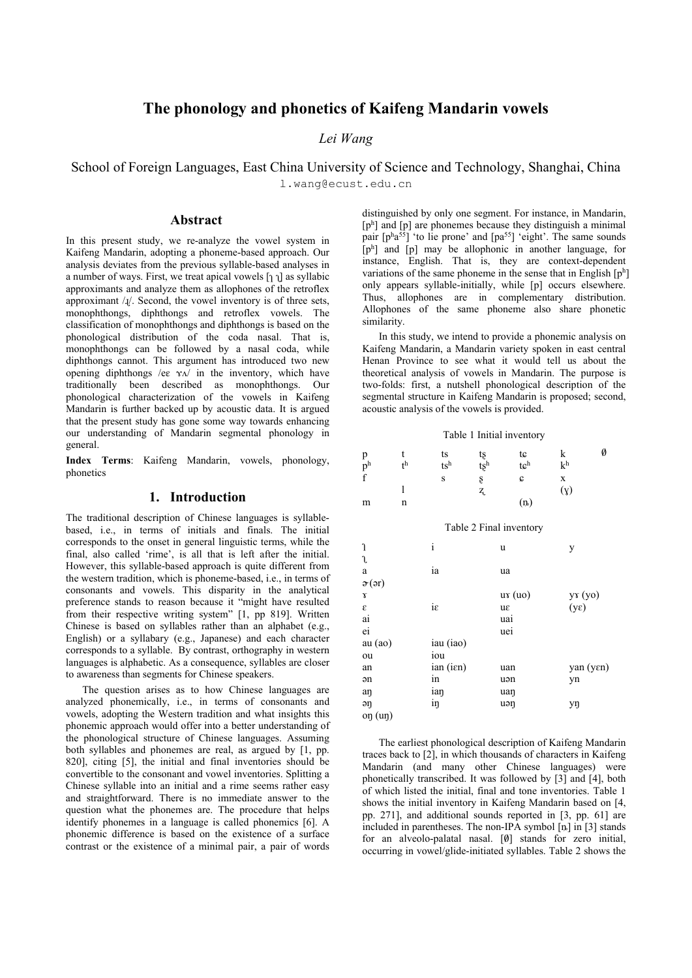# **The phonology and phonetics of Kaifeng Mandarin vowels**

# *Lei Wang*

School of Foreign Languages, East China University of Science and Technology, Shanghai, China l.wang@ecust.edu.cn

## **Abstract**

In this present study, we re-analyze the vowel system in Kaifeng Mandarin, adopting a phoneme-based approach. Our analysis deviates from the previous syllable-based analyses in a number of ways. First, we treat apical vowels  $[\eta]$  as syllabic approximants and analyze them as allophones of the retroflex approximant  $/J$ . Second, the vowel inventory is of three sets, monophthongs, diphthongs and retroflex vowels. The classification of monophthongs and diphthongs is based on the phonological distribution of the coda nasal. That is, monophthongs can be followed by a nasal coda, while diphthongs cannot. This argument has introduced two new opening diphthongs /eɛ ɤʌ/ in the inventory, which have traditionally been described as monophthongs. Our phonological characterization of the vowels in Kaifeng Mandarin is further backed up by acoustic data. It is argued that the present study has gone some way towards enhancing our understanding of Mandarin segmental phonology in general.

**Index Terms**: Kaifeng Mandarin, vowels, phonology, phonetics

### **1. Introduction**

The traditional description of Chinese languages is syllablebased, i.e., in terms of initials and finals. The initial corresponds to the onset in general linguistic terms, while the final, also called 'rime', is all that is left after the initial. However, this syllable-based approach is quite different from the western tradition, which is phoneme-based, i.e., in terms of consonants and vowels. This disparity in the analytical preference stands to reason because it "might have resulted from their respective writing system" [1, pp 819]. Written Chinese is based on syllables rather than an alphabet (e.g., English) or a syllabary (e.g., Japanese) and each character corresponds to a syllable. By contrast, orthography in western languages is alphabetic. As a consequence, syllables are closer to awareness than segments for Chinese speakers.

The question arises as to how Chinese languages are analyzed phonemically, i.e., in terms of consonants and vowels, adopting the Western tradition and what insights this phonemic approach would offer into a better understanding of the phonological structure of Chinese languages. Assuming both syllables and phonemes are real, as argued by [1, pp. 820], citing [5], the initial and final inventories should be convertible to the consonant and vowel inventories. Splitting a Chinese syllable into an initial and a rime seems rather easy and straightforward. There is no immediate answer to the question what the phonemes are. The procedure that helps identify phonemes in a language is called phonemics [6]. A phonemic difference is based on the existence of a surface contrast or the existence of a minimal pair, a pair of words distinguished by only one segment. For instance, in Mandarin,  $[p<sup>h</sup>]$  and  $[p]$  are phonemes because they distinguish a minimal pair  $[p^h a^{55}]$  'to lie prone' and  $[p a^{55}]$  'eight'. The same sounds [ph] and [p] may be allophonic in another language, for instance, English. That is, they are context-dependent variations of the same phoneme in the sense that in English [ph] only appears syllable-initially, while [p] occurs elsewhere. Thus, allophones are in complementary distribution. Allophones of the same phoneme also share phonetic similarity.

In this study, we intend to provide a phonemic analysis on Kaifeng Mandarin, a Mandarin variety spoken in east central Henan Province to see what it would tell us about the theoretical analysis of vowels in Mandarin. The purpose is two-folds: first, a nutshell phonological description of the segmental structure in Kaifeng Mandarin is proposed; second, acoustic analysis of the vowels is provided.

|  |  |  | Table 1 Initial inventory |
|--|--|--|---------------------------|
|--|--|--|---------------------------|

| p              |             | ts     | tş        | tc               |                | Ø |
|----------------|-------------|--------|-----------|------------------|----------------|---|
| p <sup>h</sup> | $_{\rm th}$ | $ts^h$ | $t \xi^h$ | t e <sup>h</sup> | k <sup>h</sup> |   |
| $\mathbf{f}$   |             | S      | S         | c                |                |   |
|                |             |        | 7         |                  | (y)            |   |
| m              |             |        |           | (n)              |                |   |

Table 2 Final inventory

| J<br>l                       | $\mathbf{i}$ | u      | у                  |
|------------------------------|--------------|--------|--------------------|
| a                            | ia           | ua     |                    |
| $\mathfrak{F}(\mathfrak{d})$ |              |        |                    |
| γ                            |              | ux(uo) |                    |
| ε                            | iε           | uε     | $yx(yo)$<br>$(yε)$ |
| ai                           |              | uai    |                    |
| ei                           |              | uei    |                    |
| au (ao)                      | iau (iao)    |        |                    |
| ou                           | iou          |        |                    |
| an                           | ian (ien)    | uan    | yan (yen)          |
| ən                           | in           | uən    | yn                 |
| aŋ                           | ian          | uan    |                    |
| əŋ                           | iŋ           | uən    | уŋ                 |
| on (un)                      |              |        |                    |

The earliest phonological description of Kaifeng Mandarin traces back to [2], in which thousands of characters in Kaifeng Mandarin (and many other Chinese languages) were phonetically transcribed. It was followed by [3] and [4], both of which listed the initial, final and tone inventories. Table 1 shows the initial inventory in Kaifeng Mandarin based on [4, pp. 271], and additional sounds reported in [3, pp. 61] are included in parentheses. The non-IPA symbol [ȵ] in [3] stands for an alveolo-palatal nasal.  $[0]$  stands for zero initial, occurring in vowel/glide-initiated syllables. Table 2 shows the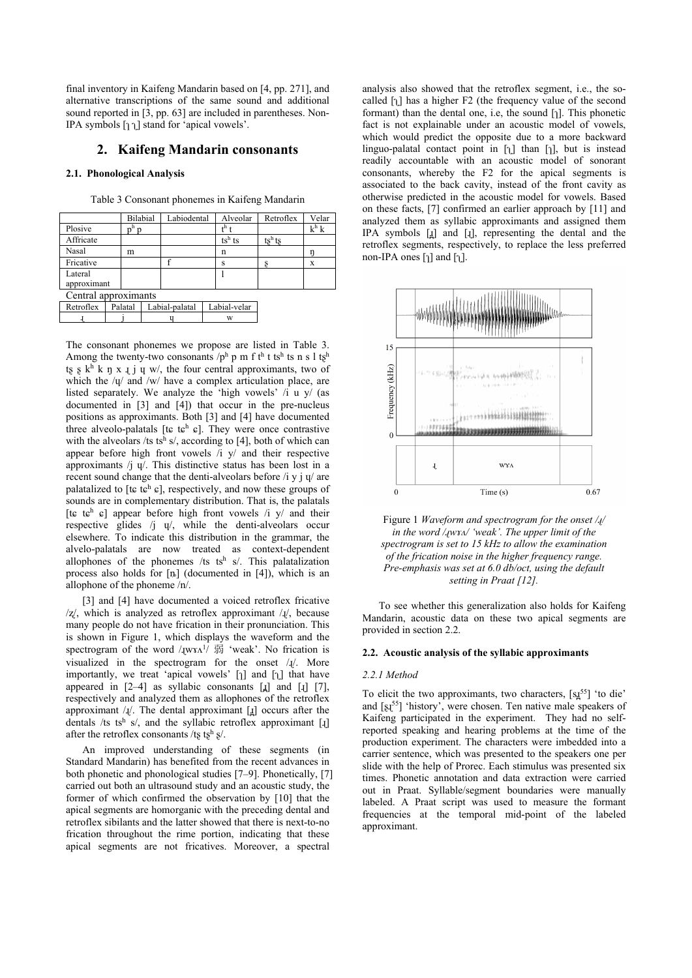final inventory in Kaifeng Mandarin based on [4, pp. 271], and alternative transcriptions of the same sound and additional sound reported in [3, pp. 63] are included in parentheses. Non-IPA symbols  $[\uparrow \uparrow]$  stand for 'apical vowels'.

## **2. Kaifeng Mandarin consonants**

### **2.1. Phonological Analysis**

|                      |         | Bilabial       | Labiodental |  | Alveolar         | Retroflex | Velar   |
|----------------------|---------|----------------|-------------|--|------------------|-----------|---------|
| Plosive              | n       |                |             |  | t <sup>h</sup> t |           | $k^h k$ |
| Affricate            |         |                |             |  | $ts^h$ ts        | $ts^h$ ts |         |
| Nasal                | m       |                |             |  | n                |           |         |
| Fricative            |         |                |             |  | s                |           | X       |
| Lateral              |         |                |             |  |                  |           |         |
| approximant          |         |                |             |  |                  |           |         |
| Central approximants |         |                |             |  |                  |           |         |
| Retroflex            | Palatal | Labial-palatal |             |  | Labial-velar     |           |         |
|                      |         |                |             |  | w                |           |         |
|                      |         |                |             |  |                  |           |         |

Table 3 Consonant phonemes in Kaifeng Mandarin

The consonant phonemes we propose are listed in Table 3. Among the twenty-two consonants  $/p^h$  p m f th t tsh ts n s l tsh ts s  $k^h$  k ŋ x  $I$  j  $I$  w/, the four central approximants, two of which the / $\psi$  and /w/ have a complex articulation place, are listed separately. We analyze the 'high vowels' /i u y/ (as documented in [3] and [4]) that occur in the pre-nucleus positions as approximants. Both [3] and [4] have documented three alveolo-palatals [tɕ tɕh ɕ]. They were once contrastive with the alveolars /ts tsh s/, according to [4], both of which can appear before high front vowels  $\overline{A}$  y/ and their respective approximants /j ɥ/. This distinctive status has been lost in a recent sound change that the denti-alveolars before  $/i$  y j  $\psi$  are palatalized to [t $\varepsilon$  t $\varepsilon$ <sup>h</sup>  $\varepsilon$ ], respectively, and now these groups of sounds are in complementary distribution. That is, the palatals [t $\varepsilon$  t $\varepsilon$ <sup>h</sup>  $\varepsilon$ ] appear before high front vowels /i y/ and their respective glides /j ɥ/, while the denti-alveolars occur elsewhere. To indicate this distribution in the grammar, the alvelo-palatals are now treated as context-dependent allophones of the phonemes /ts tsh s/. This palatalization process also holds for  $[n]$  (documented in [4]), which is an allophone of the phoneme /n/.

[3] and [4] have documented a voiced retroflex fricative  $\frac{z}{\lambda}$ , which is analyzed as retroflex approximant  $\lambda$ <sup>1</sup>, because many people do not have frication in their pronunciation. This is shown in Figure 1, which displays the waveform and the spectrogram of the word / $I_{\text{LWYA}}$ <sup>1</sup>/ 弱 'weak'. No frication is visualized in the spectrogram for the onset / $I$ /. More importantly, we treat 'apical vowels'  $\lceil \cdot \rceil$  and  $\lceil \cdot \rceil$  that have appeared in  $[2-4]$  as syllabic consonants  $[\underline{1}]$  and  $[\underline{1}]$   $[7]$ , respectively and analyzed them as allophones of the retroflex approximant  $/I$ . The dental approximant  $[I]$  occurs after the dentals /ts tsh s/, and the syllabic retroflex approximant [ $\downarrow$ ] after the retroflex consonants /tʂ tʂh ʂ/.

An improved understanding of these segments (in Standard Mandarin) has benefited from the recent advances in both phonetic and phonological studies [7–9]. Phonetically, [7] carried out both an ultrasound study and an acoustic study, the former of which confirmed the observation by [10] that the apical segments are homorganic with the preceding dental and retroflex sibilants and the latter showed that there is next-to-no frication throughout the rime portion, indicating that these apical segments are not fricatives. Moreover, a spectral

analysis also showed that the retroflex segment, i.e., the socalled  $\lceil \cdot \rceil$  has a higher F2 (the frequency value of the second formant) than the dental one, i.e, the sound  $\lceil \cdot \rceil$ . This phonetic fact is not explainable under an acoustic model of vowels, which would predict the opposite due to a more backward linguo-palatal contact point in  $\lceil \cdot \rceil$  than  $\lceil \cdot \rceil$ , but is instead readily accountable with an acoustic model of sonorant consonants, whereby the F2 for the apical segments is associated to the back cavity, instead of the front cavity as otherwise predicted in the acoustic model for vowels. Based on these facts, [7] confirmed an earlier approach by [11] and analyzed them as syllabic approximants and assigned them IPA symbols [ɹ̪] and [ɻ], representing the dental and the retroflex segments, respectively, to replace the less preferred non-IPA ones  $\lceil \cdot \rceil$  and  $\lceil \cdot \rceil$ .



Figure 1 *Waveform and spectrogram for the onset /ɻ/ in the word /ɻwɤʌ/ 'weak'. The upper limit of the spectrogram is set to 15 kHz to allow the examination of the frication noise in the higher frequency range. Pre-emphasis was set at 6.0 db/oct, using the default setting in Praat [12].*

To see whether this generalization also holds for Kaifeng Mandarin, acoustic data on these two apical segments are provided in section 2.2.

#### **2.2. Acoustic analysis of the syllabic approximants**

#### *2.2.1 Method*

To elicit the two approximants, two characters,  $[s_1^{\pi5}]$  'to die' and  $[s<sub>1</sub>55]$  'history', were chosen. Ten native male speakers of Kaifeng participated in the experiment. They had no selfreported speaking and hearing problems at the time of the production experiment. The characters were imbedded into a carrier sentence, which was presented to the speakers one per slide with the help of Prorec. Each stimulus was presented six times. Phonetic annotation and data extraction were carried out in Praat. Syllable/segment boundaries were manually labeled. A Praat script was used to measure the formant frequencies at the temporal mid-point of the labeled approximant.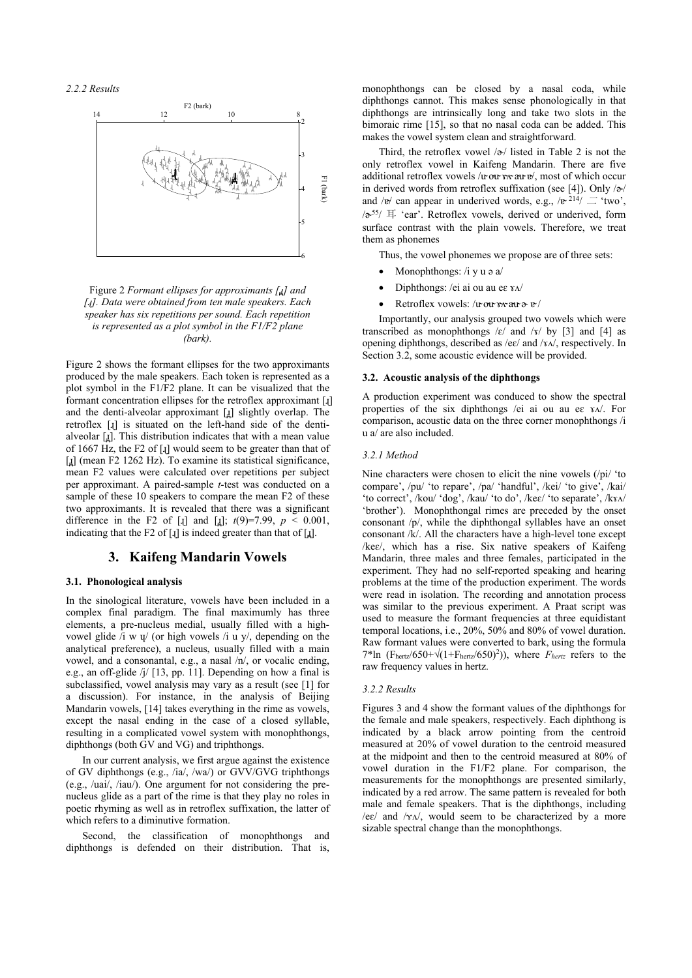*2.2.2 Results*



Figure 2 *Formant ellipses for approximants [ɹ̪] and [ɻ]. Data were obtained from ten male speakers. Each speaker has six repetitions per sound. Each repetition is represented as a plot symbol in the F1/F2 plane (bark).*

Figure 2 shows the formant ellipses for the two approximants produced by the male speakers. Each token is represented as a plot symbol in the F1/F2 plane. It can be visualized that the formant concentration ellipses for the retroflex approximant [ɻ] and the denti-alveolar approximant [1] slightly overlap. The retroflex [ɻ] is situated on the left-hand side of the dentialveolar  $[i]$ . This distribution indicates that with a mean value of 1667 Hz, the F2 of [ɻ] would seem to be greater than that of [ $\mu$ ] (mean F2 1262 Hz). To examine its statistical significance, mean F2 values were calculated over repetitions per subject per approximant. A paired-sample *t*-test was conducted on a sample of these 10 speakers to compare the mean F2 of these two approximants. It is revealed that there was a significant difference in the F2 of [I] and [I];  $t(9)=7.99$ ,  $p < 0.001$ , indicating that the F2 of [ɻ] is indeed greater than that of [ɹ̪].

# **3. Kaifeng Mandarin Vowels**

### **3.1. Phonological analysis**

In the sinological literature, vowels have been included in a complex final paradigm. The final maximumly has three elements, a pre-nucleus medial, usually filled with a highvowel glide  $\overline{i}$  w  $\overline{y}$  (or high vowels  $\overline{i}$  u y/, depending on the analytical preference), a nucleus, usually filled with a main vowel, and a consonantal, e.g., a nasal /n/, or vocalic ending, e.g., an off-glide /j/ [13, pp. 11]. Depending on how a final is subclassified, vowel analysis may vary as a result (see [1] for a discussion). For instance, in the analysis of Beijing Mandarin vowels, [14] takes everything in the rime as vowels, except the nasal ending in the case of a closed syllable, resulting in a complicated vowel system with monophthongs, diphthongs (both GV and VG) and triphthongs.

In our current analysis, we first argue against the existence of GV diphthongs (e.g., /ia/, /wa/) or GVV/GVG triphthongs (e.g., /uai/, /iau/). One argument for not considering the prenucleus glide as a part of the rime is that they play no roles in poetic rhyming as well as in retroflex suffixation, the latter of which refers to a diminutive formation.

Second, the classification of monophthongs and diphthongs is defended on their distribution. That is,

monophthongs can be closed by a nasal coda, while diphthongs cannot. This makes sense phonologically in that diphthongs are intrinsically long and take two slots in the bimoraic rime [15], so that no nasal coda can be added. This makes the vowel system clean and straightforward.

Third, the retroflex vowel  $/\gamma$  listed in Table 2 is not the only retroflex vowel in Kaifeng Mandarin. There are five additional retroflex vowels /u ou x au v/, most of which occur in derived words from retroflex suffixation (see [4]). Only  $\sqrt{\sigma}$ / and / $e'$  can appear in underived words, e.g., / $e^{2i4}/\equiv$  'two',  $\sqrt{\sigma^{55}/\pi}$  'ear'. Retroflex vowels, derived or underived, form surface contrast with the plain vowels. Therefore, we treat them as phonemes

Thus, the vowel phonemes we propose are of three sets:

- Monophthongs: /i y u ə a/
- Diphthongs: /ei ai ou au eɛ ɤʌ/
- Retroflex vowels: /uou v x au a v/

Importantly, our analysis grouped two vowels which were transcribed as monophthongs / $\varepsilon$ / and /x/ by [3] and [4] as opening diphthongs, described as /eɛ/ and /ɤʌ/, respectively. In Section 3.2, some acoustic evidence will be provided.

### **3.2. Acoustic analysis of the diphthongs**

A production experiment was conduced to show the spectral properties of the six diphthongs /ei ai ou au ee  $x \sqrt{N}$ . For comparison, acoustic data on the three corner monophthongs /i u a/ are also included.

#### *3.2.1 Method*

Nine characters were chosen to elicit the nine vowels (/pi/ 'to compare', /pu/ 'to repare', /pa/ 'handful', /kei/ 'to give', /kai/ 'to correct', /kou/ 'dog', /kau/ 'to do', /keɛ/ 'to separate', /kɤʌ/ 'brother'). Monophthongal rimes are preceded by the onset consonant /p/, while the diphthongal syllables have an onset consonant /k/. All the characters have a high-level tone except /keɛ/, which has a rise. Six native speakers of Kaifeng Mandarin, three males and three females, participated in the experiment. They had no self-reported speaking and hearing problems at the time of the production experiment. The words were read in isolation. The recording and annotation process was similar to the previous experiment. A Praat script was used to measure the formant frequencies at three equidistant temporal locations, i.e., 20%, 50% and 80% of vowel duration. Raw formant values were converted to bark, using the formula 7\*ln (Fhertz/650+ $\sqrt{(1+F_{\text{hertz}}/650)^2}$ )), where *Fhertz* refers to the raw frequency values in hertz.

#### *3.2.2 Results*

Figures 3 and 4 show the formant values of the diphthongs for the female and male speakers, respectively. Each diphthong is indicated by a black arrow pointing from the centroid measured at 20% of vowel duration to the centroid measured at the midpoint and then to the centroid measured at 80% of vowel duration in the F1/F2 plane. For comparison, the measurements for the monophthongs are presented similarly, indicated by a red arrow. The same pattern is revealed for both male and female speakers. That is the diphthongs, including /eɛ/ and /ɤʌ/, would seem to be characterized by a more sizable spectral change than the monophthongs.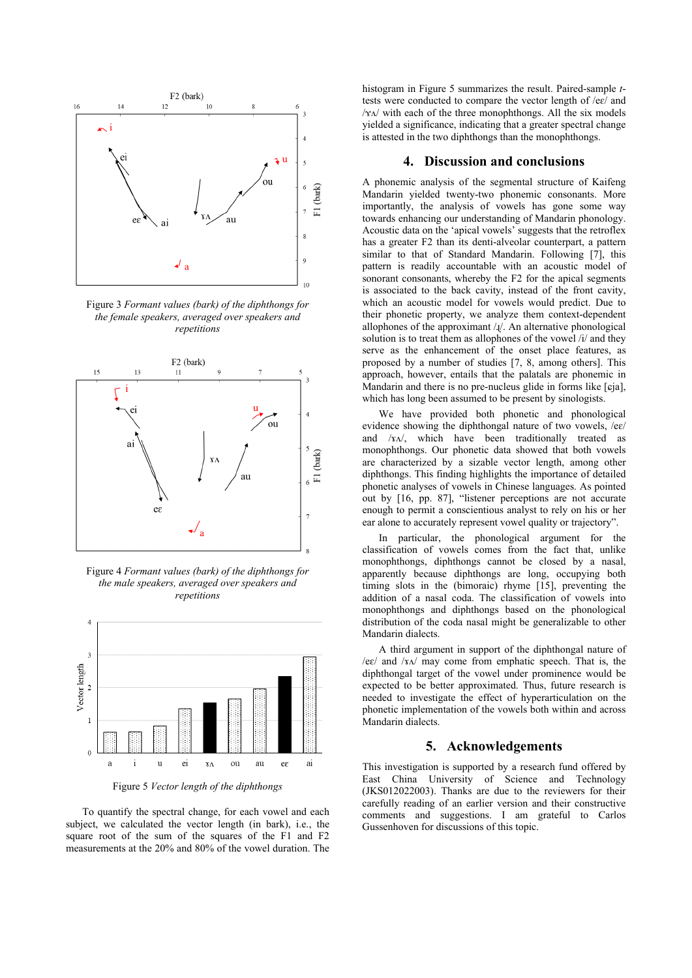

Figure 3 *Formant values (bark) of the diphthongs for the female speakers, averaged over speakers and repetitions*



Figure 4 *Formant values (bark) of the diphthongs for the male speakers, averaged over speakers and repetitions*



Figure 5 *Vector length of the diphthongs*

To quantify the spectral change, for each vowel and each subject, we calculated the vector length (in bark), i.e., the square root of the sum of the squares of the F1 and F2 measurements at the 20% and 80% of the vowel duration. The

histogram in Figure 5 summarizes the result. Paired-sample *t*tests were conducted to compare the vector length of /eɛ/ and /ɤʌ/ with each of the three monophthongs. All the six models yielded a significance, indicating that a greater spectral change is attested in the two diphthongs than the monophthongs.

### **4. Discussion and conclusions**

A phonemic analysis of the segmental structure of Kaifeng Mandarin yielded twenty-two phonemic consonants. More importantly, the analysis of vowels has gone some way towards enhancing our understanding of Mandarin phonology. Acoustic data on the 'apical vowels' suggests that the retroflex has a greater F2 than its denti-alveolar counterpart, a pattern similar to that of Standard Mandarin. Following [7], this pattern is readily accountable with an acoustic model of sonorant consonants, whereby the F2 for the apical segments is associated to the back cavity, instead of the front cavity, which an acoustic model for vowels would predict. Due to their phonetic property, we analyze them context-dependent allophones of the approximant  $\lambda$ <sup> $\lambda$ </sup>. An alternative phonological solution is to treat them as allophones of the vowel /i/ and they serve as the enhancement of the onset place features, as proposed by a number of studies [7, 8, among others]. This approach, however, entails that the palatals are phonemic in Mandarin and there is no pre-nucleus glide in forms like [ɕja], which has long been assumed to be present by sinologists.

We have provided both phonetic and phonological evidence showing the diphthongal nature of two vowels, /eɛ/ and /x $\Lambda$ , which have been traditionally treated as monophthongs. Our phonetic data showed that both vowels are characterized by a sizable vector length, among other diphthongs. This finding highlights the importance of detailed phonetic analyses of vowels in Chinese languages. As pointed out by [16, pp. 87], "listener perceptions are not accurate enough to permit a conscientious analyst to rely on his or her ear alone to accurately represent vowel quality or trajectory".

In particular, the phonological argument for the classification of vowels comes from the fact that, unlike monophthongs, diphthongs cannot be closed by a nasal, apparently because diphthongs are long, occupying both timing slots in the (bimoraic) rhyme [15], preventing the addition of a nasal coda. The classification of vowels into monophthongs and diphthongs based on the phonological distribution of the coda nasal might be generalizable to other Mandarin dialects.

A third argument in support of the diphthongal nature of  $/ee/$  and  $/xa/$  may come from emphatic speech. That is, the diphthongal target of the vowel under prominence would be expected to be better approximated. Thus, future research is needed to investigate the effect of hyperarticulation on the phonetic implementation of the vowels both within and across Mandarin dialects.

### **5. Acknowledgements**

This investigation is supported by a research fund offered by East China University of Science and Technology (JKS012022003). Thanks are due to the reviewers for their carefully reading of an earlier version and their constructive comments and suggestions. I am grateful to Carlos Gussenhoven for discussions of this topic.